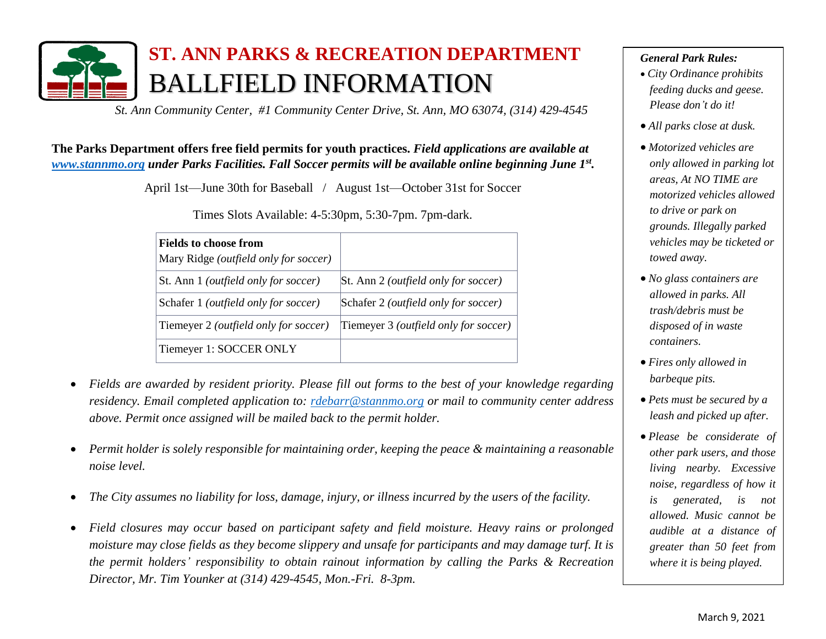

## **ST. ANN PARKS & RECREATION DEPARTMENT** BALLFIELD INFORMATION

*St. Ann Community Center, #1 Community Center Drive, St. Ann, MO 63074, (314) 429-4545*

## **The Parks Department offers free field permits for youth practices.** *Field applications are available at [www.stannmo.org](http://www.stannmo.org/) under Parks Facilities. Fall Soccer permits will be available online beginning June 1st .*

April 1st—June 30th for Baseball / August 1st—October 31st for Soccer

Times Slots Available: 4-5:30pm, 5:30-7pm. 7pm-dark.

| <b>Fields to choose from</b><br>Mary Ridge (outfield only for soccer) |                                               |
|-----------------------------------------------------------------------|-----------------------------------------------|
| St. Ann 1 ( <i>outfield only for soccer</i> )                         | St. Ann 2 ( <i>outfield only for soccer</i> ) |
| Schafer 1 ( <i>outfield only for soccer</i> )                         | Schafer 2 (outfield only for soccer)          |
| Tiemeyer 2 ( <i>outfield only for soccer</i> )                        | Tiemeyer 3 (outfield only for soccer)         |
| Tiemeyer 1: SOCCER ONLY                                               |                                               |

- *Fields are awarded by resident priority. Please fill out forms to the best of your knowledge regarding residency. Email completed application to: [rdebarr@stannmo.org](mailto:rdebarr@stannmo.org%20or) or mail to community center address above. Permit once assigned will be mailed back to the permit holder.*
- *Permit holder is solely responsible for maintaining order, keeping the peace & maintaining a reasonable noise level.*
- *The City assumes no liability for loss, damage, injury, or illness incurred by the users of the facility.*
- *Field closures may occur based on participant safety and field moisture. Heavy rains or prolonged moisture may close fields as they become slippery and unsafe for participants and may damage turf. It is the permit holders' responsibility to obtain rainout information by calling the Parks & Recreation Director, Mr. Tim Younker at (314) 429-4545, Mon.-Fri. 8-3pm.*

## *General Park Rules:*

- *City Ordinance prohibits feeding ducks and geese. Please don't do it!*
- *All parks close at dusk.*
- *Motorized vehicles are only allowed in parking lot areas, At NO TIME are motorized vehicles allowed to drive or park on grounds. Illegally parked vehicles may be ticketed or towed away.*
- *No glass containers are allowed in parks. All trash/debris must be disposed of in waste containers.*
- *Fires only allowed in barbeque pits.*
- *Pets must be secured by a leash and picked up after.*
- *Please be considerate of other park users, and those living nearby. Excessive noise, regardless of how it is generated, is not allowed. Music cannot be audible at a distance of greater than 50 feet from where it is being played.*